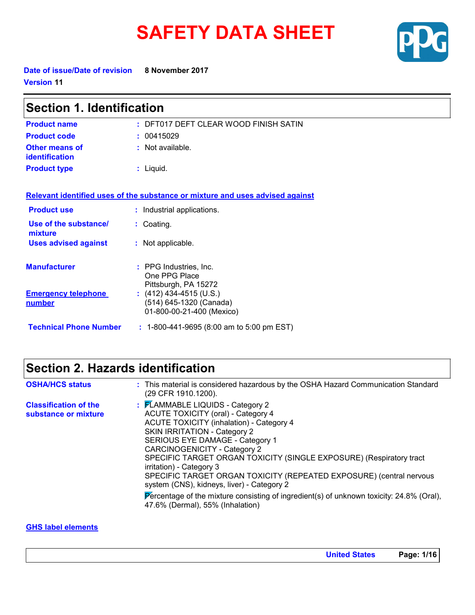# **SAFETY DATA SHEET**



**Date of issue/Date of revision 8 November 2017 Version 11**

| <b>Section 1. Identification</b>               |                                                                                 |  |
|------------------------------------------------|---------------------------------------------------------------------------------|--|
| <b>Product name</b>                            | : DFT017 DEFT CLEAR WOOD FINISH SATIN                                           |  |
| <b>Product code</b>                            | : 00415029                                                                      |  |
| <b>Other means of</b><br><b>identification</b> | : Not available.                                                                |  |
| <b>Product type</b>                            | : Liquid.                                                                       |  |
|                                                | Relevant identified uses of the substance or mixture and uses advised against   |  |
| <b>Product use</b>                             | : Industrial applications.                                                      |  |
| Use of the substance/<br>mixture               | : Coating.                                                                      |  |
| <b>Uses advised against</b>                    | : Not applicable.                                                               |  |
| <b>Manufacturer</b>                            | : PPG Industries, Inc.<br>One PPG Place<br>Pittsburgh, PA 15272                 |  |
| <b>Emergency telephone</b><br><u>number</u>    | $(412)$ 434-4515 (U.S.)<br>(514) 645-1320 (Canada)<br>01-800-00-21-400 (Mexico) |  |
| <b>Technical Phone Number</b>                  | $: 1-800-441-9695$ (8:00 am to 5:00 pm EST)                                     |  |

## **Section 2. Hazards identification**

| <b>OSHA/HCS status</b>                               | : This material is considered hazardous by the OSHA Hazard Communication Standard<br>(29 CFR 1910.1200).                                                                                                                                                                                                                                                                                                                                                                                                                                                                                       |
|------------------------------------------------------|------------------------------------------------------------------------------------------------------------------------------------------------------------------------------------------------------------------------------------------------------------------------------------------------------------------------------------------------------------------------------------------------------------------------------------------------------------------------------------------------------------------------------------------------------------------------------------------------|
| <b>Classification of the</b><br>substance or mixture | : FLAMMABLE LIQUIDS - Category 2<br><b>ACUTE TOXICITY (oral) - Category 4</b><br><b>ACUTE TOXICITY (inhalation) - Category 4</b><br>SKIN IRRITATION - Category 2<br>SERIOUS EYE DAMAGE - Category 1<br>CARCINOGENICITY - Category 2<br>SPECIFIC TARGET ORGAN TOXICITY (SINGLE EXPOSURE) (Respiratory tract<br>irritation) - Category 3<br>SPECIFIC TARGET ORGAN TOXICITY (REPEATED EXPOSURE) (central nervous<br>system (CNS), kidneys, liver) - Category 2<br>Percentage of the mixture consisting of ingredient(s) of unknown toxicity: $24.8\%$ (Oral),<br>47.6% (Dermal), 55% (Inhalation) |

### **GHS label elements**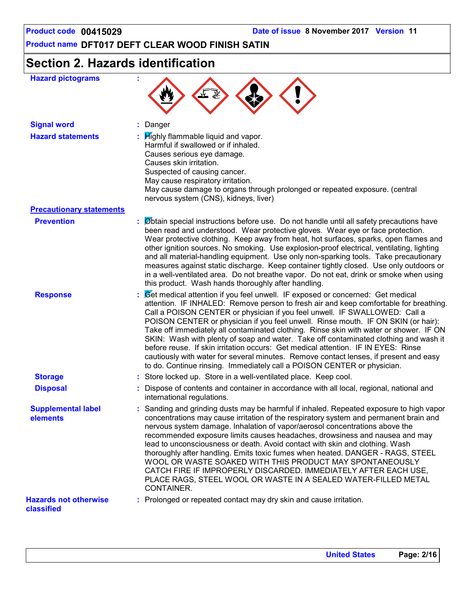## **Section 2. Hazards identification**

| <b>Hazard pictograms</b>                          |                                                                                                                                                                                                                                                                                                                                                                                                                                                                                                                                                                                                                                                                                                                                                                                         |
|---------------------------------------------------|-----------------------------------------------------------------------------------------------------------------------------------------------------------------------------------------------------------------------------------------------------------------------------------------------------------------------------------------------------------------------------------------------------------------------------------------------------------------------------------------------------------------------------------------------------------------------------------------------------------------------------------------------------------------------------------------------------------------------------------------------------------------------------------------|
| <b>Signal word</b>                                | Danger                                                                                                                                                                                                                                                                                                                                                                                                                                                                                                                                                                                                                                                                                                                                                                                  |
| <b>Hazard statements</b>                          | $\therefore$ $H$ ighly flammable liquid and vapor.<br>Harmful if swallowed or if inhaled.<br>Causes serious eye damage.<br>Causes skin irritation.<br>Suspected of causing cancer.<br>May cause respiratory irritation.<br>May cause damage to organs through prolonged or repeated exposure. (central<br>nervous system (CNS), kidneys, liver)                                                                                                                                                                                                                                                                                                                                                                                                                                         |
| <b>Precautionary statements</b>                   |                                                                                                                                                                                                                                                                                                                                                                                                                                                                                                                                                                                                                                                                                                                                                                                         |
| <b>Prevention</b>                                 | : Øbtain special instructions before use. Do not handle until all safety precautions have<br>been read and understood. Wear protective gloves. Wear eye or face protection.<br>Wear protective clothing. Keep away from heat, hot surfaces, sparks, open flames and<br>other ignition sources. No smoking. Use explosion-proof electrical, ventilating, lighting<br>and all material-handling equipment. Use only non-sparking tools. Take precautionary<br>measures against static discharge. Keep container tightly closed. Use only outdoors or<br>in a well-ventilated area. Do not breathe vapor. Do not eat, drink or smoke when using<br>this product. Wash hands thoroughly after handling.                                                                                     |
| <b>Response</b>                                   | : Cet medical attention if you feel unwell. IF exposed or concerned: Get medical<br>attention. IF INHALED: Remove person to fresh air and keep comfortable for breathing.<br>Call a POISON CENTER or physician if you feel unwell. IF SWALLOWED: Call a<br>POISON CENTER or physician if you feel unwell. Rinse mouth. IF ON SKIN (or hair):<br>Take off immediately all contaminated clothing. Rinse skin with water or shower. IF ON<br>SKIN: Wash with plenty of soap and water. Take off contaminated clothing and wash it<br>before reuse. If skin irritation occurs: Get medical attention. IF IN EYES: Rinse<br>cautiously with water for several minutes. Remove contact lenses, if present and easy<br>to do. Continue rinsing. Immediately call a POISON CENTER or physician. |
| <b>Storage</b>                                    | : Store locked up. Store in a well-ventilated place. Keep cool.                                                                                                                                                                                                                                                                                                                                                                                                                                                                                                                                                                                                                                                                                                                         |
| <b>Disposal</b>                                   | : Dispose of contents and container in accordance with all local, regional, national and<br>international regulations.                                                                                                                                                                                                                                                                                                                                                                                                                                                                                                                                                                                                                                                                  |
| <b>Supplemental label</b><br>elements             | : Sanding and grinding dusts may be harmful if inhaled. Repeated exposure to high vapor<br>concentrations may cause irritation of the respiratory system and permanent brain and<br>nervous system damage. Inhalation of vapor/aerosol concentrations above the<br>recommended exposure limits causes headaches, drowsiness and nausea and may<br>lead to unconsciousness or death. Avoid contact with skin and clothing. Wash<br>thoroughly after handling. Emits toxic fumes when heated. DANGER - RAGS, STEEL<br>WOOL OR WASTE SOAKED WITH THIS PRODUCT MAY SPONTANEOUSLY<br>CATCH FIRE IF IMPROPERLY DISCARDED. IMMEDIATELY AFTER EACH USE,<br>PLACE RAGS, STEEL WOOL OR WASTE IN A SEALED WATER-FILLED METAL<br>CONTAINER.                                                         |
| <b>Hazards not otherwise</b><br><b>classified</b> | : Prolonged or repeated contact may dry skin and cause irritation.                                                                                                                                                                                                                                                                                                                                                                                                                                                                                                                                                                                                                                                                                                                      |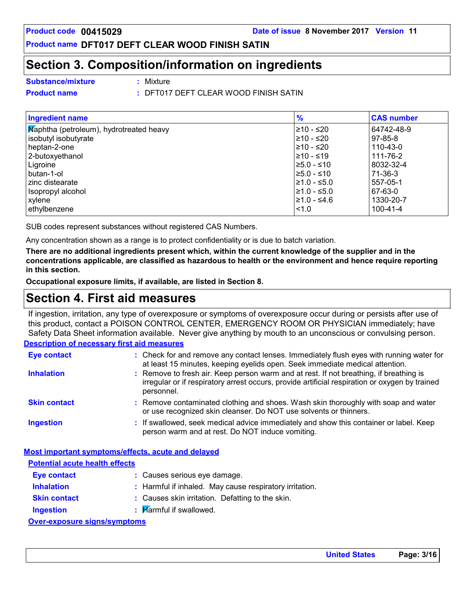## **Section 3. Composition/information on ingredients**

**Substance/mixture :**

: Mixture

**Product name :** DFT017 DEFT CLEAR WOOD FINISH SATIN

| <b>Ingredient name</b>                  | $\frac{9}{6}$    | <b>CAS number</b> |
|-----------------------------------------|------------------|-------------------|
| Maphtha (petroleum), hydrotreated heavy | l≥10 - ≤20       | 64742-48-9        |
| isobutyl isobutyrate                    | l≥10 - ≤20       | $97 - 85 - 8$     |
| heptan-2-one                            | l≥10 - ≤20       | $110 - 43 - 0$    |
| 2-butoxyethanol                         | 210 - ≤19        | 111-76-2          |
| Ligroine                                | l≥5.0 - ≤10      | 8032-32-4         |
| butan-1-ol                              | l≥5.0 - ≤10      | $71-36-3$         |
| zinc distearate                         | l≥1.0 - ≤5.0     | 557-05-1          |
| Isopropyl alcohol                       | $\geq 1.0 - 5.0$ | 67-63-0           |
| xylene                                  | l≥1.0 - ≤4.6     | 1330-20-7         |
| ethylbenzene                            | < 1.0            | $100 - 41 - 4$    |

SUB codes represent substances without registered CAS Numbers.

Any concentration shown as a range is to protect confidentiality or is due to batch variation.

**There are no additional ingredients present which, within the current knowledge of the supplier and in the concentrations applicable, are classified as hazardous to health or the environment and hence require reporting in this section.**

**Occupational exposure limits, if available, are listed in Section 8.**

## **Section 4. First aid measures**

If ingestion, irritation, any type of overexposure or symptoms of overexposure occur during or persists after use of this product, contact a POISON CONTROL CENTER, EMERGENCY ROOM OR PHYSICIAN immediately; have Safety Data Sheet information available. Never give anything by mouth to an unconscious or convulsing person.

### **Description of necessary first aid measures**

| <b>Eye contact</b>                    | : Check for and remove any contact lenses. Immediately flush eyes with running water for<br>at least 15 minutes, keeping eyelids open. Seek immediate medical attention.                               |
|---------------------------------------|--------------------------------------------------------------------------------------------------------------------------------------------------------------------------------------------------------|
| <b>Inhalation</b>                     | : Remove to fresh air. Keep person warm and at rest. If not breathing, if breathing is<br>irregular or if respiratory arrest occurs, provide artificial respiration or oxygen by trained<br>personnel. |
| <b>Skin contact</b>                   | : Remove contaminated clothing and shoes. Wash skin thoroughly with soap and water<br>or use recognized skin cleanser. Do NOT use solvents or thinners.                                                |
| <b>Ingestion</b>                      | : If swallowed, seek medical advice immediately and show this container or label. Keep<br>person warm and at rest. Do NOT induce vomiting.                                                             |
|                                       | Most important symptoms/effects, acute and delayed                                                                                                                                                     |
| <b>Potential acute health effects</b> |                                                                                                                                                                                                        |
| <b>Eye contact</b>                    | : Causes serious eve damage.                                                                                                                                                                           |

- **Inhalation : Skin contact :** : Harmful if inhaled. May cause respiratory irritation.
	- Causes skin irritation. Defatting to the skin.
- **Ingestion :**  $\blacksquare$  Marmful if swallowed.

### **Over-exposure signs/symptoms**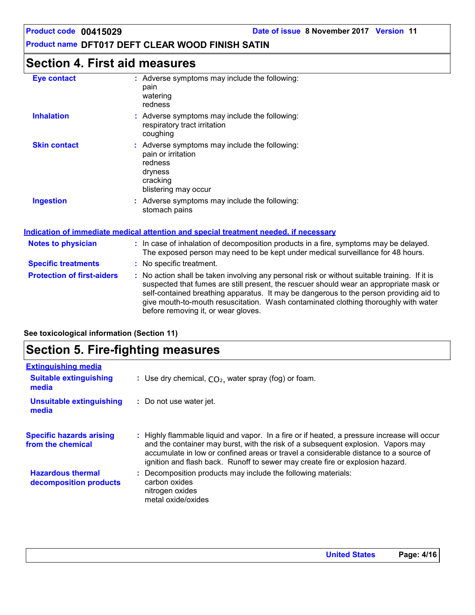## **Section 4. First aid measures**

| <b>Eye contact</b>                | : Adverse symptoms may include the following:<br>pain<br>watering<br>redness                                                                                                                                                                                                                                                                                             |
|-----------------------------------|--------------------------------------------------------------------------------------------------------------------------------------------------------------------------------------------------------------------------------------------------------------------------------------------------------------------------------------------------------------------------|
| <b>Inhalation</b>                 | : Adverse symptoms may include the following:<br>respiratory tract irritation<br>coughing                                                                                                                                                                                                                                                                                |
| <b>Skin contact</b>               | : Adverse symptoms may include the following:<br>pain or irritation<br>redness<br>dryness<br>cracking<br>blistering may occur                                                                                                                                                                                                                                            |
| <b>Ingestion</b>                  | : Adverse symptoms may include the following:<br>stomach pains                                                                                                                                                                                                                                                                                                           |
|                                   | Indication of immediate medical attention and special treatment needed, if necessary                                                                                                                                                                                                                                                                                     |
| <b>Notes to physician</b>         | : In case of inhalation of decomposition products in a fire, symptoms may be delayed.<br>The exposed person may need to be kept under medical surveillance for 48 hours.                                                                                                                                                                                                 |
| <b>Specific treatments</b>        | : No specific treatment.                                                                                                                                                                                                                                                                                                                                                 |
| <b>Protection of first-aiders</b> | : No action shall be taken involving any personal risk or without suitable training. If it is<br>suspected that fumes are still present, the rescuer should wear an appropriate mask or<br>self-contained breathing apparatus. It may be dangerous to the person providing aid to<br>give mouth-to-mouth resuscitation. Wash contaminated clothing thoroughly with water |

before removing it, or wear gloves.

**See toxicological information (Section 11)**

## **Section 5. Fire-fighting measures**

| : Use dry chemical, $CO2$ , water spray (fog) or foam.                                                                                                                                                                                                                                                                                                   |
|----------------------------------------------------------------------------------------------------------------------------------------------------------------------------------------------------------------------------------------------------------------------------------------------------------------------------------------------------------|
| : Do not use water jet.                                                                                                                                                                                                                                                                                                                                  |
| : Highly flammable liquid and vapor. In a fire or if heated, a pressure increase will occur<br>and the container may burst, with the risk of a subsequent explosion. Vapors may<br>accumulate in low or confined areas or travel a considerable distance to a source of<br>ignition and flash back. Runoff to sewer may create fire or explosion hazard. |
| Decomposition products may include the following materials:<br>carbon oxides<br>nitrogen oxides<br>metal oxide/oxides                                                                                                                                                                                                                                    |
|                                                                                                                                                                                                                                                                                                                                                          |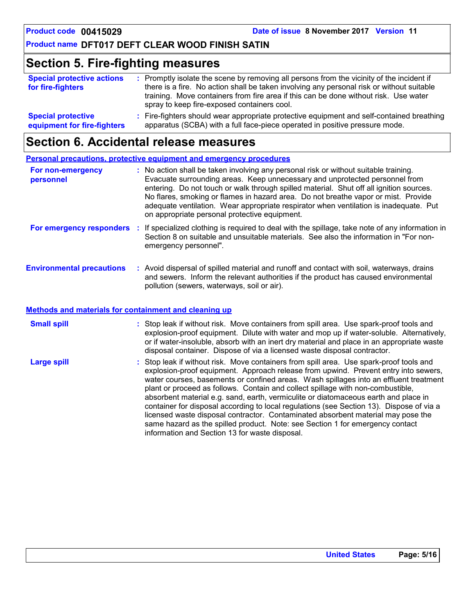## **Section 5. Fire-fighting measures**

| <b>Special protective actions</b><br>for fire-fighters | : Promptly isolate the scene by removing all persons from the vicinity of the incident if<br>there is a fire. No action shall be taken involving any personal risk or without suitable<br>training. Move containers from fire area if this can be done without risk. Use water<br>spray to keep fire-exposed containers cool. |
|--------------------------------------------------------|-------------------------------------------------------------------------------------------------------------------------------------------------------------------------------------------------------------------------------------------------------------------------------------------------------------------------------|
| <b>Special protective</b>                              | : Fire-fighters should wear appropriate protective equipment and self-contained breathing                                                                                                                                                                                                                                     |
| equipment for fire-fighters                            | apparatus (SCBA) with a full face-piece operated in positive pressure mode.                                                                                                                                                                                                                                                   |

## **Section 6. Accidental release measures**

### **Personal precautions, protective equipment and emergency procedures**

| For non-emergency<br>personnel   | : No action shall be taken involving any personal risk or without suitable training.<br>Evacuate surrounding areas. Keep unnecessary and unprotected personnel from<br>entering. Do not touch or walk through spilled material. Shut off all ignition sources.<br>No flares, smoking or flames in hazard area. Do not breathe vapor or mist. Provide<br>adequate ventilation. Wear appropriate respirator when ventilation is inadequate. Put<br>on appropriate personal protective equipment. |
|----------------------------------|------------------------------------------------------------------------------------------------------------------------------------------------------------------------------------------------------------------------------------------------------------------------------------------------------------------------------------------------------------------------------------------------------------------------------------------------------------------------------------------------|
| For emergency responders         | : If specialized clothing is required to deal with the spillage, take note of any information in<br>Section 8 on suitable and unsuitable materials. See also the information in "For non-<br>emergency personnel".                                                                                                                                                                                                                                                                             |
| <b>Environmental precautions</b> | : Avoid dispersal of spilled material and runoff and contact with soil, waterways, drains<br>and sewers. Inform the relevant authorities if the product has caused environmental<br>pollution (sewers, waterways, soil or air).                                                                                                                                                                                                                                                                |

### **Methods and materials for containment and cleaning up**

| <b>Small spill</b> |                                                | : Stop leak if without risk. Move containers from spill area. Use spark-proof tools and<br>explosion-proof equipment. Dilute with water and mop up if water-soluble. Alternatively,<br>or if water-insoluble, absorb with an inert dry material and place in an appropriate waste<br>disposal container. Dispose of via a licensed waste disposal contractor.                                                                                                                                                                                                                                                                                                                                                      |  |
|--------------------|------------------------------------------------|--------------------------------------------------------------------------------------------------------------------------------------------------------------------------------------------------------------------------------------------------------------------------------------------------------------------------------------------------------------------------------------------------------------------------------------------------------------------------------------------------------------------------------------------------------------------------------------------------------------------------------------------------------------------------------------------------------------------|--|
| <b>Large spill</b> | information and Section 13 for waste disposal. | : Stop leak if without risk. Move containers from spill area. Use spark-proof tools and<br>explosion-proof equipment. Approach release from upwind. Prevent entry into sewers,<br>water courses, basements or confined areas. Wash spillages into an effluent treatment<br>plant or proceed as follows. Contain and collect spillage with non-combustible,<br>absorbent material e.g. sand, earth, vermiculite or diatomaceous earth and place in<br>container for disposal according to local regulations (see Section 13). Dispose of via a<br>licensed waste disposal contractor. Contaminated absorbent material may pose the<br>same hazard as the spilled product. Note: see Section 1 for emergency contact |  |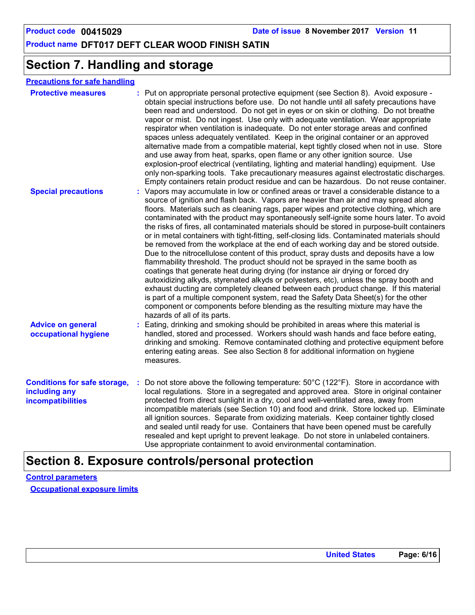## **Section 7. Handling and storage**

| <b>Protective measures</b>                                                       | : Put on appropriate personal protective equipment (see Section 8). Avoid exposure -<br>obtain special instructions before use. Do not handle until all safety precautions have<br>been read and understood. Do not get in eyes or on skin or clothing. Do not breathe<br>vapor or mist. Do not ingest. Use only with adequate ventilation. Wear appropriate<br>respirator when ventilation is inadequate. Do not enter storage areas and confined<br>spaces unless adequately ventilated. Keep in the original container or an approved<br>alternative made from a compatible material, kept tightly closed when not in use. Store<br>and use away from heat, sparks, open flame or any other ignition source. Use<br>explosion-proof electrical (ventilating, lighting and material handling) equipment. Use<br>only non-sparking tools. Take precautionary measures against electrostatic discharges.<br>Empty containers retain product residue and can be hazardous. Do not reuse container.                                                                                                                                                                                                                                                                                                                  |
|----------------------------------------------------------------------------------|--------------------------------------------------------------------------------------------------------------------------------------------------------------------------------------------------------------------------------------------------------------------------------------------------------------------------------------------------------------------------------------------------------------------------------------------------------------------------------------------------------------------------------------------------------------------------------------------------------------------------------------------------------------------------------------------------------------------------------------------------------------------------------------------------------------------------------------------------------------------------------------------------------------------------------------------------------------------------------------------------------------------------------------------------------------------------------------------------------------------------------------------------------------------------------------------------------------------------------------------------------------------------------------------------------------------|
| <b>Special precautions</b>                                                       | : Vapors may accumulate in low or confined areas or travel a considerable distance to a<br>source of ignition and flash back. Vapors are heavier than air and may spread along<br>floors. Materials such as cleaning rags, paper wipes and protective clothing, which are<br>contaminated with the product may spontaneously self-ignite some hours later. To avoid<br>the risks of fires, all contaminated materials should be stored in purpose-built containers<br>or in metal containers with tight-fitting, self-closing lids. Contaminated materials should<br>be removed from the workplace at the end of each working day and be stored outside.<br>Due to the nitrocellulose content of this product, spray dusts and deposits have a low<br>flammability threshold. The product should not be sprayed in the same booth as<br>coatings that generate heat during drying (for instance air drying or forced dry<br>autoxidizing alkyds, styrenated alkyds or polyesters, etc), unless the spray booth and<br>exhaust ducting are completely cleaned between each product change. If this material<br>is part of a multiple component system, read the Safety Data Sheet(s) for the other<br>component or components before blending as the resulting mixture may have the<br>hazards of all of its parts. |
| <b>Advice on general</b><br>occupational hygiene                                 | : Eating, drinking and smoking should be prohibited in areas where this material is<br>handled, stored and processed. Workers should wash hands and face before eating,<br>drinking and smoking. Remove contaminated clothing and protective equipment before<br>entering eating areas. See also Section 8 for additional information on hygiene<br>measures.                                                                                                                                                                                                                                                                                                                                                                                                                                                                                                                                                                                                                                                                                                                                                                                                                                                                                                                                                      |
| <b>Conditions for safe storage,</b><br>including any<br><b>incompatibilities</b> | : Do not store above the following temperature: 50°C (122°F). Store in accordance with<br>local regulations. Store in a segregated and approved area. Store in original container<br>protected from direct sunlight in a dry, cool and well-ventilated area, away from<br>incompatible materials (see Section 10) and food and drink. Store locked up. Eliminate<br>all ignition sources. Separate from oxidizing materials. Keep container tightly closed<br>and sealed until ready for use. Containers that have been opened must be carefully<br>resealed and kept upright to prevent leakage. Do not store in unlabeled containers.<br>Use appropriate containment to avoid environmental contamination.                                                                                                                                                                                                                                                                                                                                                                                                                                                                                                                                                                                                       |

## **Section 8. Exposure controls/personal protection**

**Control parameters Occupational exposure limits**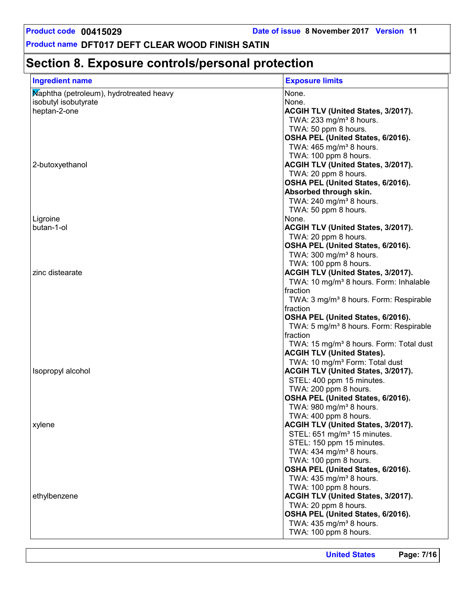## **Section 8. Exposure controls/personal protection**

| <b>Ingredient name</b>                  | <b>Exposure limits</b>                                                          |
|-----------------------------------------|---------------------------------------------------------------------------------|
| Maphtha (petroleum), hydrotreated heavy | None.                                                                           |
| isobutyl isobutyrate                    | None.                                                                           |
| heptan-2-one                            | ACGIH TLV (United States, 3/2017).                                              |
|                                         | TWA: 233 mg/m <sup>3</sup> 8 hours.                                             |
|                                         | TWA: 50 ppm 8 hours.                                                            |
|                                         | OSHA PEL (United States, 6/2016).                                               |
|                                         | TWA: $465$ mg/m <sup>3</sup> 8 hours.                                           |
|                                         | TWA: 100 ppm 8 hours.                                                           |
| 2-butoxyethanol                         | ACGIH TLV (United States, 3/2017).                                              |
|                                         | TWA: 20 ppm 8 hours.                                                            |
|                                         | OSHA PEL (United States, 6/2016).                                               |
|                                         | Absorbed through skin.                                                          |
|                                         | TWA: $240$ mg/m <sup>3</sup> 8 hours.                                           |
|                                         | TWA: 50 ppm 8 hours.                                                            |
| Ligroine                                | None.                                                                           |
| butan-1-ol                              | ACGIH TLV (United States, 3/2017).                                              |
|                                         | TWA: 20 ppm 8 hours.                                                            |
|                                         | OSHA PEL (United States, 6/2016).                                               |
|                                         | TWA: 300 mg/m <sup>3</sup> 8 hours.                                             |
|                                         | TWA: 100 ppm 8 hours.                                                           |
| zinc distearate                         | ACGIH TLV (United States, 3/2017).                                              |
|                                         | TWA: 10 mg/m <sup>3</sup> 8 hours. Form: Inhalable                              |
|                                         | fraction                                                                        |
|                                         | TWA: 3 mg/m <sup>3</sup> 8 hours. Form: Respirable                              |
|                                         | fraction                                                                        |
|                                         | OSHA PEL (United States, 6/2016).                                               |
|                                         | TWA: 5 mg/m <sup>3</sup> 8 hours. Form: Respirable                              |
|                                         | fraction                                                                        |
|                                         | TWA: 15 mg/m <sup>3</sup> 8 hours. Form: Total dust                             |
|                                         | <b>ACGIH TLV (United States).</b><br>TWA: 10 mg/m <sup>3</sup> Form: Total dust |
| Isopropyl alcohol                       | ACGIH TLV (United States, 3/2017).                                              |
|                                         | STEL: 400 ppm 15 minutes.                                                       |
|                                         | TWA: 200 ppm 8 hours.                                                           |
|                                         | OSHA PEL (United States, 6/2016).                                               |
|                                         | TWA: 980 mg/m <sup>3</sup> 8 hours.                                             |
|                                         | TWA: 400 ppm 8 hours.                                                           |
| xylene                                  | ACGIH TLV (United States, 3/2017).                                              |
|                                         | STEL: 651 mg/m <sup>3</sup> 15 minutes.                                         |
|                                         | STEL: 150 ppm 15 minutes.                                                       |
|                                         | TWA: 434 mg/m <sup>3</sup> 8 hours.                                             |
|                                         | TWA: 100 ppm 8 hours.                                                           |
|                                         | OSHA PEL (United States, 6/2016).                                               |
|                                         | TWA: 435 mg/m <sup>3</sup> 8 hours.                                             |
|                                         | TWA: 100 ppm 8 hours.                                                           |
| ethylbenzene                            | ACGIH TLV (United States, 3/2017).                                              |
|                                         | TWA: 20 ppm 8 hours.                                                            |
|                                         | OSHA PEL (United States, 6/2016).                                               |
|                                         | TWA: 435 mg/m <sup>3</sup> 8 hours.                                             |
|                                         | TWA: 100 ppm 8 hours.                                                           |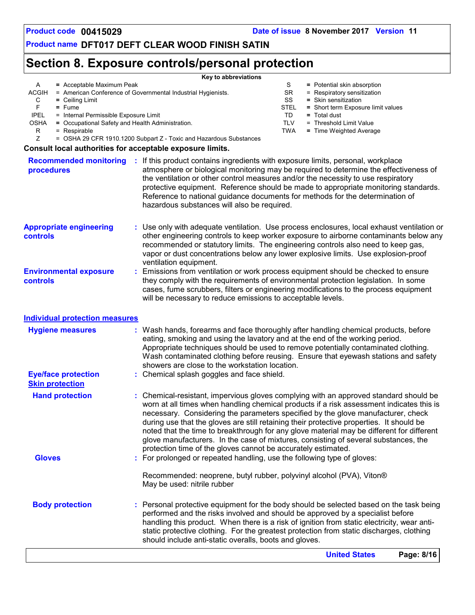## **Section 8. Exposure controls/personal protection**

| = Acceptable Maximum Peak<br>A<br>ACGIH<br>С<br>$=$ Ceiling Limit<br>F<br>$=$ Fume<br><b>IPEL</b><br>= Internal Permissible Exposure Limit<br>= Occupational Safety and Health Administration.<br>OSHA<br>R<br>= Respirable<br>Z | Key to abbreviations<br>S<br>= Potential skin absorption<br>SR<br>= American Conference of Governmental Industrial Hygienists.<br>= Respiratory sensitization<br>SS<br>= Skin sensitization<br><b>STEL</b><br>= Short term Exposure limit values<br>TD<br>$=$ Total dust<br>TLV<br>= Threshold Limit Value<br><b>TWA</b><br>= Time Weighted Average<br>= OSHA 29 CFR 1910.1200 Subpart Z - Toxic and Hazardous Substances                                                                                                                                                                                                                                       |
|----------------------------------------------------------------------------------------------------------------------------------------------------------------------------------------------------------------------------------|-----------------------------------------------------------------------------------------------------------------------------------------------------------------------------------------------------------------------------------------------------------------------------------------------------------------------------------------------------------------------------------------------------------------------------------------------------------------------------------------------------------------------------------------------------------------------------------------------------------------------------------------------------------------|
| Consult local authorities for acceptable exposure limits.                                                                                                                                                                        |                                                                                                                                                                                                                                                                                                                                                                                                                                                                                                                                                                                                                                                                 |
| procedures                                                                                                                                                                                                                       | Recommended monitoring : If this product contains ingredients with exposure limits, personal, workplace<br>atmosphere or biological monitoring may be required to determine the effectiveness of<br>the ventilation or other control measures and/or the necessity to use respiratory<br>protective equipment. Reference should be made to appropriate monitoring standards.<br>Reference to national guidance documents for methods for the determination of<br>hazardous substances will also be required.                                                                                                                                                    |
| <b>Appropriate engineering</b><br>controls<br><b>Environmental exposure</b><br>controls                                                                                                                                          | : Use only with adequate ventilation. Use process enclosures, local exhaust ventilation or<br>other engineering controls to keep worker exposure to airborne contaminants below any<br>recommended or statutory limits. The engineering controls also need to keep gas,<br>vapor or dust concentrations below any lower explosive limits. Use explosion-proof<br>ventilation equipment.<br>Emissions from ventilation or work process equipment should be checked to ensure<br>t.<br>they comply with the requirements of environmental protection legislation. In some<br>cases, fume scrubbers, filters or engineering modifications to the process equipment |
| <b>Individual protection measures</b><br><b>Hygiene measures</b>                                                                                                                                                                 | will be necessary to reduce emissions to acceptable levels.<br>: Wash hands, forearms and face thoroughly after handling chemical products, before<br>eating, smoking and using the lavatory and at the end of the working period.                                                                                                                                                                                                                                                                                                                                                                                                                              |
| <b>Eye/face protection</b><br><b>Skin protection</b>                                                                                                                                                                             | Appropriate techniques should be used to remove potentially contaminated clothing.<br>Wash contaminated clothing before reusing. Ensure that eyewash stations and safety<br>showers are close to the workstation location.<br>: Chemical splash goggles and face shield.                                                                                                                                                                                                                                                                                                                                                                                        |
| <b>Hand protection</b>                                                                                                                                                                                                           | : Chemical-resistant, impervious gloves complying with an approved standard should be<br>worn at all times when handling chemical products if a risk assessment indicates this is<br>necessary. Considering the parameters specified by the glove manufacturer, check<br>during use that the gloves are still retaining their protective properties. It should be<br>noted that the time to breakthrough for any glove material may be different for different<br>glove manufacturers. In the case of mixtures, consisting of several substances, the<br>protection time of the gloves cannot be accurately estimated.                                          |
| <b>Gloves</b>                                                                                                                                                                                                                    | : For prolonged or repeated handling, use the following type of gloves:<br>Recommended: neoprene, butyl rubber, polyvinyl alcohol (PVA), Viton®<br>May be used: nitrile rubber                                                                                                                                                                                                                                                                                                                                                                                                                                                                                  |
| <b>Body protection</b>                                                                                                                                                                                                           | : Personal protective equipment for the body should be selected based on the task being<br>performed and the risks involved and should be approved by a specialist before<br>handling this product. When there is a risk of ignition from static electricity, wear anti-<br>static protective clothing. For the greatest protection from static discharges, clothing<br>should include anti-static overalls, boots and gloves.                                                                                                                                                                                                                                  |
|                                                                                                                                                                                                                                  | <b>United States</b><br>Page: 8/16                                                                                                                                                                                                                                                                                                                                                                                                                                                                                                                                                                                                                              |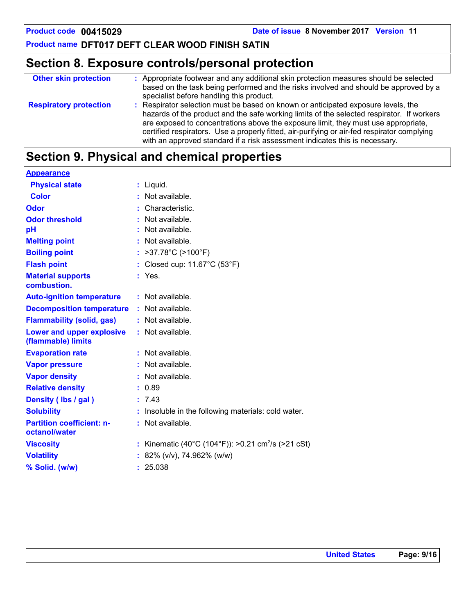## **Section 8. Exposure controls/personal protection**

| <b>Other skin protection</b>  | : Appropriate footwear and any additional skin protection measures should be selected<br>based on the task being performed and the risks involved and should be approved by a<br>specialist before handling this product.                                                                                                                                                                                                                          |
|-------------------------------|----------------------------------------------------------------------------------------------------------------------------------------------------------------------------------------------------------------------------------------------------------------------------------------------------------------------------------------------------------------------------------------------------------------------------------------------------|
| <b>Respiratory protection</b> | : Respirator selection must be based on known or anticipated exposure levels, the<br>hazards of the product and the safe working limits of the selected respirator. If workers<br>are exposed to concentrations above the exposure limit, they must use appropriate,<br>certified respirators. Use a properly fitted, air-purifying or air-fed respirator complying<br>with an approved standard if a risk assessment indicates this is necessary. |

## **Section 9. Physical and chemical properties**

| <b>Appearance</b>                                 |    |                                                              |
|---------------------------------------------------|----|--------------------------------------------------------------|
| <b>Physical state</b>                             | ř. | Liquid.                                                      |
| <b>Color</b>                                      |    | Not available.                                               |
| Odor                                              |    | Characteristic.                                              |
| <b>Odor threshold</b>                             |    | Not available.                                               |
| pH                                                |    | Not available.                                               |
| <b>Melting point</b>                              |    | Not available.                                               |
| <b>Boiling point</b>                              |    | >37.78°C (>100°F)                                            |
| <b>Flash point</b>                                |    | Closed cup: 11.67°C (53°F)                                   |
| <b>Material supports</b><br>combustion.           |    | Yes.                                                         |
| <b>Auto-ignition temperature</b>                  |    | $:$ Not available.                                           |
| <b>Decomposition temperature</b>                  |    | Not available.                                               |
| <b>Flammability (solid, gas)</b>                  |    | : Not available.                                             |
| Lower and upper explosive<br>(flammable) limits   |    | : Not available.                                             |
| <b>Evaporation rate</b>                           |    | Not available.                                               |
| <b>Vapor pressure</b>                             |    | Not available.                                               |
| <b>Vapor density</b>                              |    | Not available.                                               |
| <b>Relative density</b>                           |    | 0.89                                                         |
| Density (Ibs / gal)                               | ÷. | 7.43                                                         |
| <b>Solubility</b>                                 |    | Insoluble in the following materials: cold water.            |
| <b>Partition coefficient: n-</b><br>octanol/water |    | Not available.                                               |
| <b>Viscosity</b>                                  |    | Kinematic (40°C (104°F)): >0.21 cm <sup>2</sup> /s (>21 cSt) |
| <b>Volatility</b>                                 |    | 82% (v/v), 74.962% (w/w)                                     |
| % Solid. (w/w)                                    |    | 25.038                                                       |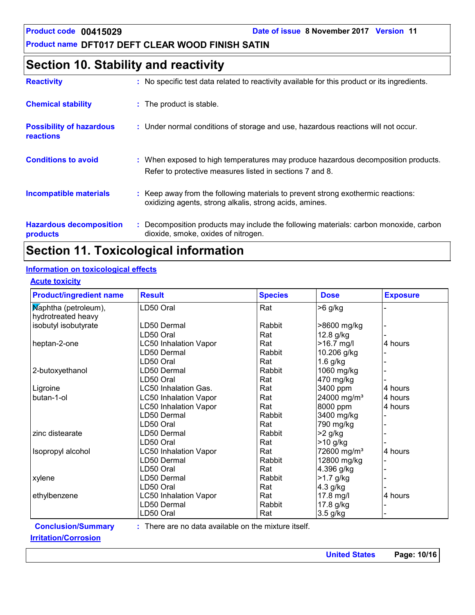## **Section 10. Stability and reactivity**

| <b>Reactivity</b>                                   | : No specific test data related to reactivity available for this product or its ingredients.                                                  |
|-----------------------------------------------------|-----------------------------------------------------------------------------------------------------------------------------------------------|
| <b>Chemical stability</b>                           | : The product is stable.                                                                                                                      |
| <b>Possibility of hazardous</b><br><b>reactions</b> | : Under normal conditions of storage and use, hazardous reactions will not occur.                                                             |
| <b>Conditions to avoid</b>                          | : When exposed to high temperatures may produce hazardous decomposition products.<br>Refer to protective measures listed in sections 7 and 8. |
| Incompatible materials                              | : Keep away from the following materials to prevent strong exothermic reactions:<br>oxidizing agents, strong alkalis, strong acids, amines.   |
| <b>Hazardous decomposition</b><br>products          | : Decomposition products may include the following materials: carbon monoxide, carbon<br>dioxide, smoke, oxides of nitrogen.                  |

## **Section 11. Toxicological information**

### **Information on toxicological effects**

### **Acute toxicity**

| <b>Product/ingredient name</b> | <b>Result</b>                                          | <b>Species</b> | <b>Dose</b>             | <b>Exposure</b> |
|--------------------------------|--------------------------------------------------------|----------------|-------------------------|-----------------|
| Maphtha (petroleum),           | LD50 Oral                                              | Rat            | >6 g/kg                 |                 |
| hydrotreated heavy             |                                                        |                |                         |                 |
| isobutyl isobutyrate           | LD50 Dermal                                            | Rabbit         | >8600 mg/kg             |                 |
|                                | LD50 Oral                                              | Rat            | 12.8 g/kg               |                 |
| heptan-2-one                   | <b>LC50 Inhalation Vapor</b>                           | Rat            | $>16.7$ mg/l            | 4 hours         |
|                                | LD50 Dermal                                            | Rabbit         | 10.206 g/kg             |                 |
|                                | LD50 Oral                                              | Rat            | $1.6$ g/kg              |                 |
| 2-butoxyethanol                | LD50 Dermal                                            | Rabbit         | 1060 mg/kg              |                 |
|                                | LD50 Oral                                              | Rat            | 470 mg/kg               |                 |
| Ligroine                       | LC50 Inhalation Gas.                                   | Rat            | 3400 ppm                | 4 hours         |
| butan-1-ol                     | <b>LC50 Inhalation Vapor</b>                           | Rat            | 24000 mg/m <sup>3</sup> | 4 hours         |
|                                | <b>LC50 Inhalation Vapor</b>                           | Rat            | 8000 ppm                | 4 hours         |
|                                | LD50 Dermal                                            | Rabbit         | 3400 mg/kg              |                 |
|                                | LD50 Oral                                              | Rat            | 790 mg/kg               |                 |
| zinc distearate                | LD50 Dermal                                            | Rabbit         | $>2$ g/kg               |                 |
|                                | LD50 Oral                                              | Rat            | $>10$ g/kg              |                 |
| Isopropyl alcohol              | <b>LC50 Inhalation Vapor</b>                           | Rat            | 72600 mg/m <sup>3</sup> | 4 hours         |
|                                | LD50 Dermal                                            | Rabbit         | 12800 mg/kg             |                 |
|                                | LD50 Oral                                              | Rat            | 4.396 g/kg              |                 |
| xylene                         | LD50 Dermal                                            | Rabbit         | $>1.7$ g/kg             |                 |
|                                | LD50 Oral                                              | Rat            | 4.3 g/kg                |                 |
| ethylbenzene                   | <b>LC50 Inhalation Vapor</b>                           | Rat            | 17.8 mg/l               | 4 hours         |
|                                | LD50 Dermal                                            | Rabbit         | 17.8 g/kg               |                 |
|                                | LD50 Oral                                              | Rat            | 3.5 g/kg                |                 |
| <b>Conclusion/Summary</b>      | $:$ There are no data available on the mixture itself. |                |                         |                 |
| <b>Irritation/Corrosion</b>    |                                                        |                |                         |                 |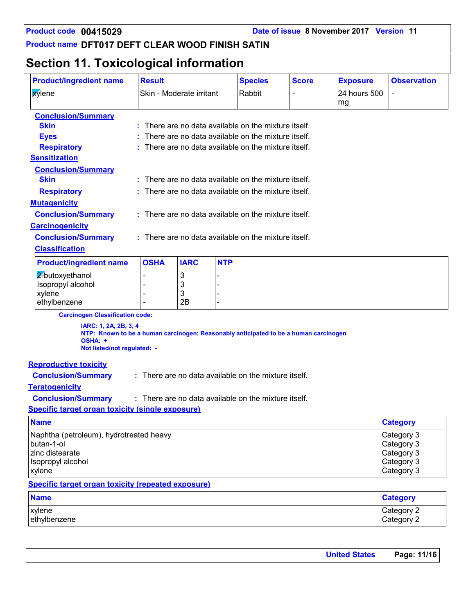## **Section 11. Toxicological information**

| <b>Product/ingredient name</b>                                                                                                 | <b>Result</b>                                        |                                                      |            | <b>Species</b> | <b>Score</b> | <b>Exposure</b>    | <b>Observation</b> |  |
|--------------------------------------------------------------------------------------------------------------------------------|------------------------------------------------------|------------------------------------------------------|------------|----------------|--------------|--------------------|--------------------|--|
| <b>xylene</b>                                                                                                                  |                                                      | Skin - Moderate irritant                             |            | Rabbit         |              | 24 hours 500<br>mg |                    |  |
| <b>Conclusion/Summary</b>                                                                                                      |                                                      |                                                      |            |                |              |                    |                    |  |
| <b>Skin</b>                                                                                                                    |                                                      | There are no data available on the mixture itself.   |            |                |              |                    |                    |  |
| <b>Eyes</b>                                                                                                                    |                                                      | There are no data available on the mixture itself.   |            |                |              |                    |                    |  |
| <b>Respiratory</b>                                                                                                             |                                                      | There are no data available on the mixture itself.   |            |                |              |                    |                    |  |
| <b>Sensitization</b>                                                                                                           |                                                      |                                                      |            |                |              |                    |                    |  |
| <b>Conclusion/Summary</b>                                                                                                      |                                                      |                                                      |            |                |              |                    |                    |  |
| <b>Skin</b>                                                                                                                    |                                                      | : There are no data available on the mixture itself. |            |                |              |                    |                    |  |
| <b>Respiratory</b>                                                                                                             |                                                      | There are no data available on the mixture itself.   |            |                |              |                    |                    |  |
| <b>Mutagenicity</b>                                                                                                            |                                                      |                                                      |            |                |              |                    |                    |  |
| <b>Conclusion/Summary</b>                                                                                                      |                                                      | : There are no data available on the mixture itself. |            |                |              |                    |                    |  |
| <b>Carcinogenicity</b>                                                                                                         |                                                      |                                                      |            |                |              |                    |                    |  |
| <b>Conclusion/Summary</b>                                                                                                      |                                                      | : There are no data available on the mixture itself. |            |                |              |                    |                    |  |
| <b>Classification</b>                                                                                                          |                                                      |                                                      |            |                |              |                    |                    |  |
| <b>Product/ingredient name</b>                                                                                                 | <b>OSHA</b>                                          | <b>IARC</b>                                          | <b>NTP</b> |                |              |                    |                    |  |
| 2-butoxyethanol                                                                                                                |                                                      | 3                                                    |            |                |              |                    |                    |  |
| Isopropyl alcohol                                                                                                              |                                                      | 3                                                    |            |                |              |                    |                    |  |
| xylene<br>ethylbenzene                                                                                                         |                                                      | 3<br>2B                                              |            |                |              |                    |                    |  |
|                                                                                                                                |                                                      |                                                      |            |                |              |                    |                    |  |
| <b>Carcinogen Classification code:</b><br>IARC: 1, 2A, 2B, 3, 4                                                                |                                                      |                                                      |            |                |              |                    |                    |  |
| NTP: Known to be a human carcinogen; Reasonably anticipated to be a human carcinogen<br>OSHA: +<br>Not listed/not regulated: - |                                                      |                                                      |            |                |              |                    |                    |  |
| <b>Reproductive toxicity</b>                                                                                                   |                                                      |                                                      |            |                |              |                    |                    |  |
| <b>Conclusion/Summary</b>                                                                                                      | : There are no data available on the mixture itself. |                                                      |            |                |              |                    |                    |  |
| <b>Teratogenicity</b>                                                                                                          |                                                      |                                                      |            |                |              |                    |                    |  |
| <b>Conclusion/Summary</b>                                                                                                      | : There are no data available on the mixture itself. |                                                      |            |                |              |                    |                    |  |
| <b>Specific target organ toxicity (single exposure)</b>                                                                        |                                                      |                                                      |            |                |              |                    |                    |  |
| <b>Name</b>                                                                                                                    |                                                      |                                                      |            |                |              |                    | <b>Category</b>    |  |
| Naphtha (petroleum), hydrotreated heavy                                                                                        |                                                      |                                                      |            |                |              |                    | Category 3         |  |
| butan-1-ol                                                                                                                     |                                                      |                                                      |            |                |              |                    | Category 3         |  |
| zinc distearate                                                                                                                |                                                      |                                                      |            |                |              |                    | Category 3         |  |
| Isopropyl alcohol                                                                                                              |                                                      |                                                      |            |                |              |                    | Category 3         |  |
| xylene                                                                                                                         |                                                      |                                                      |            |                |              |                    | Category 3         |  |
| <b>Specific target organ toxicity (repeated exposure)</b>                                                                      |                                                      |                                                      |            |                |              |                    |                    |  |
| <b>Name</b>                                                                                                                    |                                                      |                                                      |            |                |              |                    | <b>Category</b>    |  |
|                                                                                                                                |                                                      |                                                      |            |                |              |                    | Category 2         |  |
| xylene<br>ethylbenzene                                                                                                         |                                                      |                                                      |            |                |              |                    | Category 2         |  |

| <b>United States</b> | Page: 11/16 |
|----------------------|-------------|
|                      |             |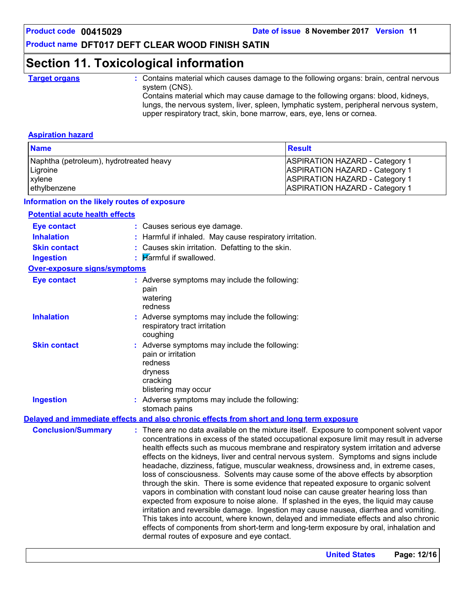## **Section 11. Toxicological information**

**Target organs :** Contains material which causes damage to the following organs: brain, central nervous system (CNS).

Contains material which may cause damage to the following organs: blood, kidneys, lungs, the nervous system, liver, spleen, lymphatic system, peripheral nervous system, upper respiratory tract, skin, bone marrow, ears, eye, lens or cornea.

### **Aspiration hazard**

| <b>Name</b>                             | <b>Result</b>                         |
|-----------------------------------------|---------------------------------------|
| Naphtha (petroleum), hydrotreated heavy | <b>ASPIRATION HAZARD - Category 1</b> |
| Ligroine                                | <b>ASPIRATION HAZARD - Category 1</b> |
| xylene                                  | <b>ASPIRATION HAZARD - Category 1</b> |
| ethylbenzene                            | <b>ASPIRATION HAZARD - Category 1</b> |

### **Information on the likely routes of exposure**

### **Potential acute health effects**

| <b>Eye contact</b>           | : Causes serious eye damage.                                                                                                                                                                                                                                                                                                                                                                                                                                                                                                                                                                                                                                                                                                                                                                                                                                                                                                                                                                                                                                                                                                              |
|------------------------------|-------------------------------------------------------------------------------------------------------------------------------------------------------------------------------------------------------------------------------------------------------------------------------------------------------------------------------------------------------------------------------------------------------------------------------------------------------------------------------------------------------------------------------------------------------------------------------------------------------------------------------------------------------------------------------------------------------------------------------------------------------------------------------------------------------------------------------------------------------------------------------------------------------------------------------------------------------------------------------------------------------------------------------------------------------------------------------------------------------------------------------------------|
| <b>Inhalation</b>            | : Harmful if inhaled. May cause respiratory irritation.                                                                                                                                                                                                                                                                                                                                                                                                                                                                                                                                                                                                                                                                                                                                                                                                                                                                                                                                                                                                                                                                                   |
| <b>Skin contact</b>          | : Causes skin irritation. Defatting to the skin.                                                                                                                                                                                                                                                                                                                                                                                                                                                                                                                                                                                                                                                                                                                                                                                                                                                                                                                                                                                                                                                                                          |
| <b>Ingestion</b>             | $\blacksquare$ Marmful if swallowed.                                                                                                                                                                                                                                                                                                                                                                                                                                                                                                                                                                                                                                                                                                                                                                                                                                                                                                                                                                                                                                                                                                      |
| Over-exposure signs/symptoms |                                                                                                                                                                                                                                                                                                                                                                                                                                                                                                                                                                                                                                                                                                                                                                                                                                                                                                                                                                                                                                                                                                                                           |
| <b>Eye contact</b>           | : Adverse symptoms may include the following:<br>pain<br>watering<br>redness                                                                                                                                                                                                                                                                                                                                                                                                                                                                                                                                                                                                                                                                                                                                                                                                                                                                                                                                                                                                                                                              |
| <b>Inhalation</b>            | : Adverse symptoms may include the following:<br>respiratory tract irritation<br>coughing                                                                                                                                                                                                                                                                                                                                                                                                                                                                                                                                                                                                                                                                                                                                                                                                                                                                                                                                                                                                                                                 |
| <b>Skin contact</b>          | : Adverse symptoms may include the following:<br>pain or irritation<br>redness<br>dryness<br>cracking<br>blistering may occur                                                                                                                                                                                                                                                                                                                                                                                                                                                                                                                                                                                                                                                                                                                                                                                                                                                                                                                                                                                                             |
| <b>Ingestion</b>             | : Adverse symptoms may include the following:<br>stomach pains                                                                                                                                                                                                                                                                                                                                                                                                                                                                                                                                                                                                                                                                                                                                                                                                                                                                                                                                                                                                                                                                            |
|                              | Delayed and immediate effects and also chronic effects from short and long term exposure                                                                                                                                                                                                                                                                                                                                                                                                                                                                                                                                                                                                                                                                                                                                                                                                                                                                                                                                                                                                                                                  |
| <b>Conclusion/Summary</b>    | : There are no data available on the mixture itself. Exposure to component solvent vapor<br>concentrations in excess of the stated occupational exposure limit may result in adverse<br>health effects such as mucous membrane and respiratory system irritation and adverse<br>effects on the kidneys, liver and central nervous system. Symptoms and signs include<br>headache, dizziness, fatigue, muscular weakness, drowsiness and, in extreme cases,<br>loss of consciousness. Solvents may cause some of the above effects by absorption<br>through the skin. There is some evidence that repeated exposure to organic solvent<br>vapors in combination with constant loud noise can cause greater hearing loss than<br>expected from exposure to noise alone. If splashed in the eyes, the liquid may cause<br>irritation and reversible damage. Ingestion may cause nausea, diarrhea and vomiting.<br>This takes into account, where known, delayed and immediate effects and also chronic<br>effects of components from short-term and long-term exposure by oral, inhalation and<br>dermal routes of exposure and eye contact. |

**United States Page: 12/16**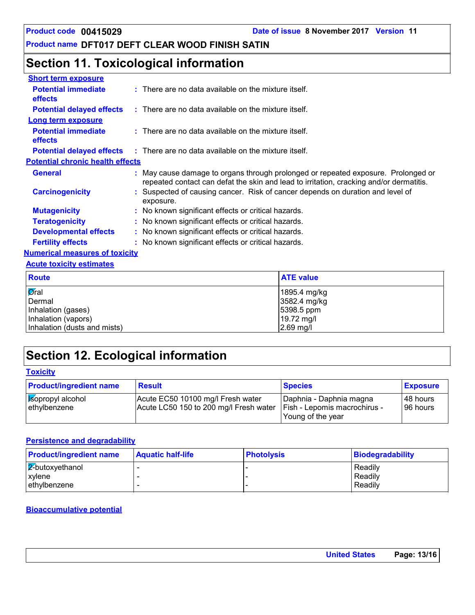## **Section 11. Toxicological information**

| <b>Short term exposure</b>                   |                                                                                                                                                                            |
|----------------------------------------------|----------------------------------------------------------------------------------------------------------------------------------------------------------------------------|
| <b>Potential immediate</b><br><b>effects</b> | $:$ There are no data available on the mixture itself.                                                                                                                     |
| <b>Potential delayed effects</b>             | $\therefore$ There are no data available on the mixture itself.                                                                                                            |
| <b>Long term exposure</b>                    |                                                                                                                                                                            |
| <b>Potential immediate</b><br><b>effects</b> | $:$ There are no data available on the mixture itself.                                                                                                                     |
|                                              | <b>Potential delayed effects</b> : There are no data available on the mixture itself.                                                                                      |
| <b>Potential chronic health effects</b>      |                                                                                                                                                                            |
| <b>General</b>                               | May cause damage to organs through prolonged or repeated exposure. Prolonged or<br>repeated contact can defat the skin and lead to irritation, cracking and/or dermatitis. |
| <b>Carcinogenicity</b>                       | Suspected of causing cancer. Risk of cancer depends on duration and level of<br>exposure.                                                                                  |
| <b>Mutagenicity</b>                          | : No known significant effects or critical hazards.                                                                                                                        |
| <b>Teratogenicity</b>                        | : No known significant effects or critical hazards.                                                                                                                        |
| <b>Developmental effects</b>                 | : No known significant effects or critical hazards.                                                                                                                        |
| <b>Fertility effects</b>                     | : No known significant effects or critical hazards.                                                                                                                        |
| <b>Numerical measures of toxicity</b>        |                                                                                                                                                                            |
| <b>Acute toxicity estimates</b>              |                                                                                                                                                                            |
| $D$ auta                                     | $ATE$ $(0.0006)$                                                                                                                                                           |

| <b>Route</b>                 | <b>ATE value</b> |
|------------------------------|------------------|
| Øral                         | 1895.4 mg/kg     |
| Dermal                       | 3582.4 mg/kg     |
| Inhalation (gases)           | $ 5398.5$ ppm    |
| Inhalation (vapors)          | 19.72 mg/l       |
| Inhalation (dusts and mists) | $2.69$ mg/l      |

## **Section 12. Ecological information**

**Toxicity**

| <b>Product/ingredient name</b>   | <b>Result</b>                                                               | <b>Species</b>                                                                 | <b>Exposure</b>      |
|----------------------------------|-----------------------------------------------------------------------------|--------------------------------------------------------------------------------|----------------------|
| sopropyl alcohol<br>ethylbenzene | Acute EC50 10100 mg/l Fresh water<br>Acute LC50 150 to 200 mg/l Fresh water | Daphnia - Daphnia magna<br>  Fish - Lepomis macrochirus -<br>Young of the year | 48 hours<br>96 hours |

### **Persistence and degradability**

| <b>Product/ingredient name</b> | <b>Aquatic half-life</b> | <b>Photolysis</b> | Biodegradability |
|--------------------------------|--------------------------|-------------------|------------------|
| $\sqrt{2}$ butoxyethanol       |                          |                   | Readily          |
| <b>xylene</b>                  |                          |                   | Readily          |
| ethylbenzene                   |                          |                   | Readily          |

### **Bioaccumulative potential**

| <b>United States</b> | Page: 13/16 |
|----------------------|-------------|
|----------------------|-------------|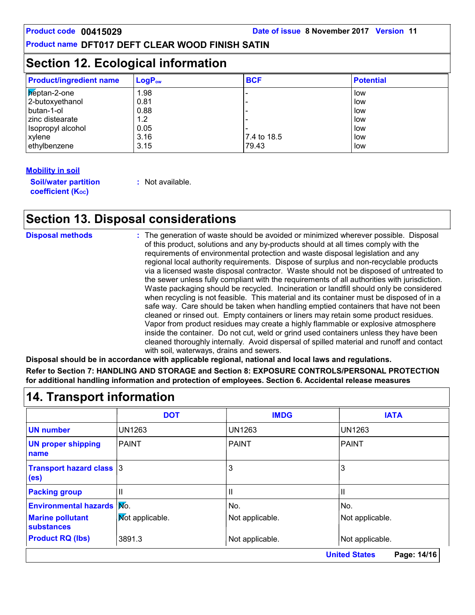## **Section 12. Ecological information**

| <b>Product/ingredient name</b> | $LogP_{ow}$ | <b>BCF</b>  | <b>Potential</b> |
|--------------------------------|-------------|-------------|------------------|
| Reptan-2-one                   | 1.98        |             | low              |
| 2-butoxyethanol                | 0.81        |             | low              |
| I butan-1-ol                   | 0.88        |             | . Iow            |
| l zinc distearate              | 1.2         |             | low              |
| Isopropyl alcohol              | 0.05        |             | low              |
| xylene                         | 3.16        | 7.4 to 18.5 | low              |
| ethylbenzene                   | 3.15        | 79.43       | low              |

### **Mobility in soil**

**Soil/water partition coefficient (KOC)**

**:** Not available.

## **Section 13. Disposal considerations**

| <b>Disposal methods</b> | : The generation of waste should be avoided or minimized wherever possible. Disposal<br>of this product, solutions and any by-products should at all times comply with the<br>requirements of environmental protection and waste disposal legislation and any<br>regional local authority requirements. Dispose of surplus and non-recyclable products<br>via a licensed waste disposal contractor. Waste should not be disposed of untreated to<br>the sewer unless fully compliant with the requirements of all authorities with jurisdiction.<br>Waste packaging should be recycled. Incineration or landfill should only be considered<br>when recycling is not feasible. This material and its container must be disposed of in a<br>safe way. Care should be taken when handling emptied containers that have not been<br>cleaned or rinsed out. Empty containers or liners may retain some product residues.<br>Vapor from product residues may create a highly flammable or explosive atmosphere<br>inside the container. Do not cut, weld or grind used containers unless they have been<br>cleaned thoroughly internally. Avoid dispersal of spilled material and runoff and contact |
|-------------------------|------------------------------------------------------------------------------------------------------------------------------------------------------------------------------------------------------------------------------------------------------------------------------------------------------------------------------------------------------------------------------------------------------------------------------------------------------------------------------------------------------------------------------------------------------------------------------------------------------------------------------------------------------------------------------------------------------------------------------------------------------------------------------------------------------------------------------------------------------------------------------------------------------------------------------------------------------------------------------------------------------------------------------------------------------------------------------------------------------------------------------------------------------------------------------------------------|
|                         | with soil, waterways, drains and sewers.                                                                                                                                                                                                                                                                                                                                                                                                                                                                                                                                                                                                                                                                                                                                                                                                                                                                                                                                                                                                                                                                                                                                                       |

**Disposal should be in accordance with applicable regional, national and local laws and regulations. Refer to Section 7: HANDLING AND STORAGE and Section 8: EXPOSURE CONTROLS/PERSONAL PROTECTION for additional handling information and protection of employees. Section 6. Accidental release measures**

|                                                      | <b>DOT</b>             | <b>IMDG</b>     | <b>IATA</b>                         |  |
|------------------------------------------------------|------------------------|-----------------|-------------------------------------|--|
| <b>UN number</b>                                     | <b>UN1263</b>          | <b>UN1263</b>   | <b>UN1263</b>                       |  |
| <b>UN proper shipping</b><br>name                    | <b>PAINT</b>           | <b>PAINT</b>    | <b>PAINT</b>                        |  |
| <b>Transport hazard class 3</b><br>(e <sub>s</sub> ) |                        | 3               | 3                                   |  |
| <b>Packing group</b>                                 | Ш                      | Ш               | Ш                                   |  |
| <b>Environmental hazards Mo.</b>                     |                        | No.             | No.                                 |  |
| <b>Marine pollutant</b><br>substances                | <b>Mot applicable.</b> | Not applicable. | Not applicable.                     |  |
| <b>Product RQ (lbs)</b>                              | 3891.3                 | Not applicable. | Not applicable.                     |  |
|                                                      |                        |                 | <b>United States</b><br>Page: 14/16 |  |

## **14. Transport information**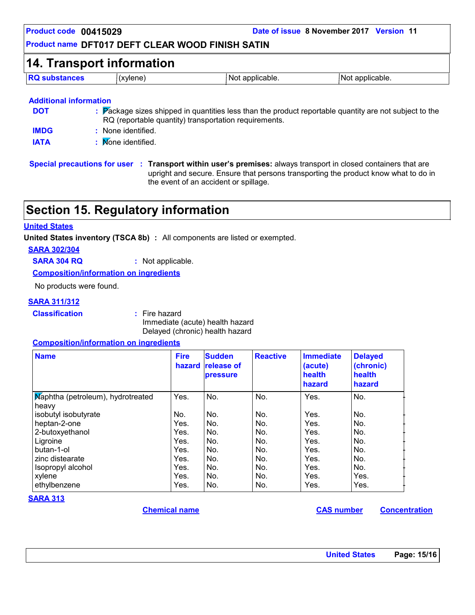| <b>14. Transport information</b> |                    |                                                       |                                                                                                        |  |
|----------------------------------|--------------------|-------------------------------------------------------|--------------------------------------------------------------------------------------------------------|--|
| <b>RQ substances</b>             | (xylene)           | Not applicable.                                       | Not applicable.                                                                                        |  |
|                                  |                    |                                                       |                                                                                                        |  |
| <b>Additional information</b>    |                    |                                                       |                                                                                                        |  |
| <b>DOT</b>                       |                    | RQ (reportable quantity) transportation requirements. | : Package sizes shipped in quantities less than the product reportable quantity are not subject to the |  |
| <b>IMDG</b>                      | : None identified. |                                                       |                                                                                                        |  |

## **Section 15. Regulatory information**

### **United States**

**United States inventory (TSCA 8b) :** All components are listed or exempted.

**SARA 302/304**

**SARA 304 RQ :** Not applicable.

**Composition/information on ingredients**

No products were found.

#### **SARA 311/312**

**Classification :** Fire hazard

Immediate (acute) health hazard Delayed (chronic) health hazard

### **Composition/information on ingredients**

| <b>Name</b>                       | <b>Fire</b><br>hazard | <b>Sudden</b><br><b>release of</b><br><b>pressure</b> | <b>Reactive</b> | <b>Immediate</b><br>(acute)<br>health<br>hazard | <b>Delayed</b><br>(chronic)<br>health<br>hazard |
|-----------------------------------|-----------------------|-------------------------------------------------------|-----------------|-------------------------------------------------|-------------------------------------------------|
| Maphtha (petroleum), hydrotreated | Yes.                  | No.                                                   | No.             | Yes.                                            | No.                                             |
| heavy                             |                       |                                                       |                 |                                                 |                                                 |
| isobutyl isobutyrate              | No.                   | No.                                                   | No.             | Yes.                                            | No.                                             |
| heptan-2-one                      | Yes.                  | No.                                                   | No.             | Yes.                                            | No.                                             |
| 2-butoxyethanol                   | Yes.                  | No.                                                   | No.             | Yes.                                            | No.                                             |
| Ligroine                          | Yes.                  | No.                                                   | No.             | Yes.                                            | No.                                             |
| butan-1-ol                        | Yes.                  | No.                                                   | No.             | Yes.                                            | No.                                             |
| zinc distearate                   | Yes.                  | No.                                                   | No.             | Yes.                                            | No.                                             |
| Isopropyl alcohol                 | Yes.                  | No.                                                   | No.             | Yes.                                            | No.                                             |
| xylene                            | Yes.                  | No.                                                   | No.             | Yes.                                            | Yes.                                            |
| ethylbenzene                      | Yes.                  | No.                                                   | No.             | Yes.                                            | Yes.                                            |

#### **SARA 313**

**Chemical name CAS number Concentration**